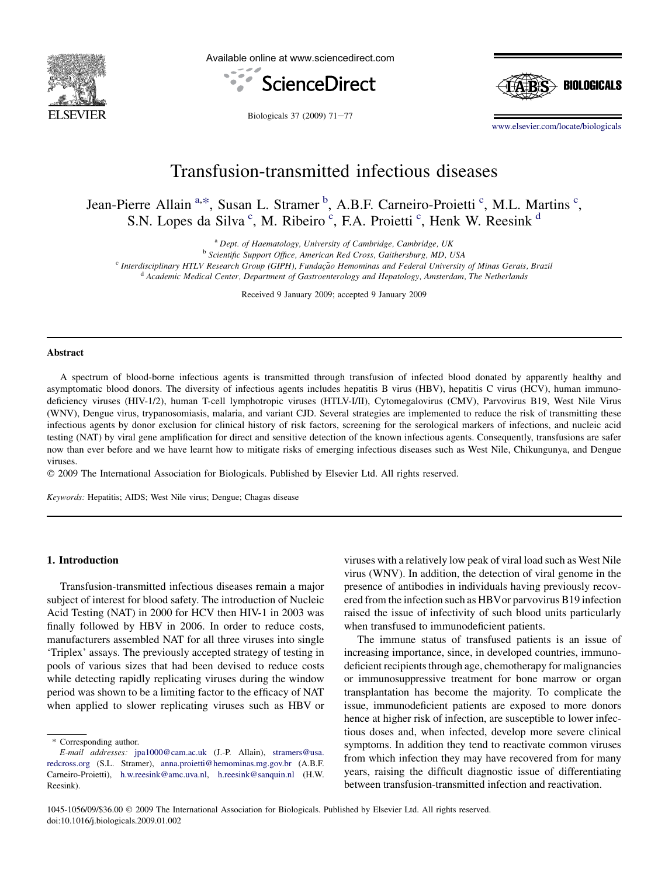

Available online at www.sciencedirect.com





Biologicals 37 (2009)  $71-77$ 

[www.elsevier.com/locate/biologicals](http://www.elsevier.com/locate/biologicals)

# Transfusion-transmitted infectious diseases

Jean-Pierre Allain<sup>a,\*</sup>, Susan L. Stramer<sup>b</sup>, A.B.F. Carneiro-Proietti<sup>c</sup>, M.L. Martins<sup>c</sup>, S.N. Lopes da Silva<sup>c</sup>, M. Ribeiro<sup>c</sup>, F.A. Proietti<sup>c</sup>, Henk W. Reesink<sup>d</sup>

<sup>a</sup> Dept. of Haematology, University of Cambridge, Cambridge, UK<br><sup>b</sup> Scientific Support Office, American Red Cross, Gaithersburg, MD, USA<br><sup>c</sup> Interdisciplinary HTLV Research Group (GIPH), Fundação Hemominas and Federal Uni

Received 9 January 2009; accepted 9 January 2009

#### **Abstract**

A spectrum of blood-borne infectious agents is transmitted through transfusion of infected blood donated by apparently healthy and asymptomatic blood donors. The diversity of infectious agents includes hepatitis B virus (HBV), hepatitis C virus (HCV), human immunodeficiency viruses (HIV-1/2), human T-cell lymphotropic viruses (HTLV-I/II), Cytomegalovirus (CMV), Parvovirus B19, West Nile Virus (WNV), Dengue virus, trypanosomiasis, malaria, and variant CJD. Several strategies are implemented to reduce the risk of transmitting these infectious agents by donor exclusion for clinical history of risk factors, screening for the serological markers of infections, and nucleic acid testing (NAT) by viral gene amplification for direct and sensitive detection of the known infectious agents. Consequently, transfusions are safer now than ever before and we have learnt how to mitigate risks of emerging infectious diseases such as West Nile, Chikungunya, and Dengue viruses.

- 2009 The International Association for Biologicals. Published by Elsevier Ltd. All rights reserved.

Keywords: Hepatitis; AIDS; West Nile virus; Dengue; Chagas disease

### 1. Introduction

Transfusion-transmitted infectious diseases remain a major subject of interest for blood safety. The introduction of Nucleic Acid Testing (NAT) in 2000 for HCV then HIV-1 in 2003 was finally followed by HBV in 2006. In order to reduce costs, manufacturers assembled NAT for all three viruses into single 'Triplex' assays. The previously accepted strategy of testing in pools of various sizes that had been devised to reduce costs while detecting rapidly replicating viruses during the window period was shown to be a limiting factor to the efficacy of NAT when applied to slower replicating viruses such as HBV or

\* Corresponding author.

viruses with a relatively low peak of viral load such as West Nile virus (WNV). In addition, the detection of viral genome in the presence of antibodies in individuals having previously recovered from the infection such as HBVor parvovirus B19 infection raised the issue of infectivity of such blood units particularly when transfused to immunodeficient patients.

The immune status of transfused patients is an issue of increasing importance, since, in developed countries, immunodeficient recipients through age, chemotherapy for malignancies or immunosuppressive treatment for bone marrow or organ transplantation has become the majority. To complicate the issue, immunodeficient patients are exposed to more donors hence at higher risk of infection, are susceptible to lower infectious doses and, when infected, develop more severe clinical symptoms. In addition they tend to reactivate common viruses from which infection they may have recovered from for many years, raising the difficult diagnostic issue of differentiating between transfusion-transmitted infection and reactivation.

E-mail addresses: [jpa1000@cam.ac.uk](mailto:jpa1000@cam.ac.uk) (J.-P. Allain), [stramers@usa.](mailto:stramers@usa.redcross.org) [redcross.org](mailto:stramers@usa.redcross.org) (S.L. Stramer), [anna.proietti@hemominas.mg.gov.br](mailto:anna.proietti@hemominas.mg.gov.br) (A.B.F. Carneiro-Proietti), [h.w.reesink@amc.uva.nl](mailto:h.w.reesink@amc.uva.nl), [h.reesink@sanquin.nl](mailto:h.reesink@sanquin.nl) (H.W. Reesink).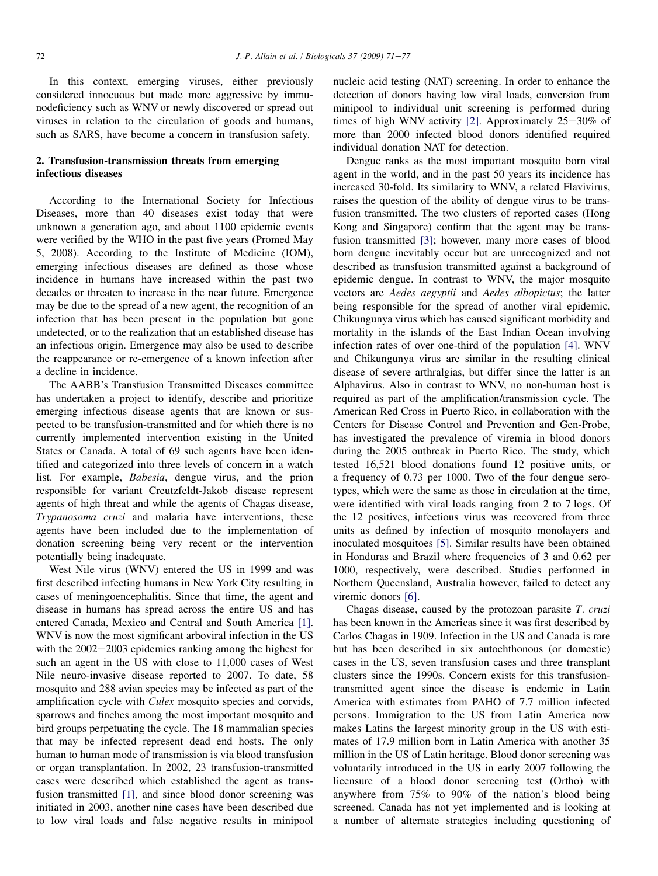In this context, emerging viruses, either previously considered innocuous but made more aggressive by immunodeficiency such as WNV or newly discovered or spread out viruses in relation to the circulation of goods and humans, such as SARS, have become a concern in transfusion safety.

# 2. Transfusion-transmission threats from emerging infectious diseases

According to the International Society for Infectious Diseases, more than 40 diseases exist today that were unknown a generation ago, and about 1100 epidemic events were verified by the WHO in the past five years (Promed May 5, 2008). According to the Institute of Medicine (IOM), emerging infectious diseases are defined as those whose incidence in humans have increased within the past two decades or threaten to increase in the near future. Emergence may be due to the spread of a new agent, the recognition of an infection that has been present in the population but gone undetected, or to the realization that an established disease has an infectious origin. Emergence may also be used to describe the reappearance or re-emergence of a known infection after a decline in incidence.

The AABB's Transfusion Transmitted Diseases committee has undertaken a project to identify, describe and prioritize emerging infectious disease agents that are known or suspected to be transfusion-transmitted and for which there is no currently implemented intervention existing in the United States or Canada. A total of 69 such agents have been identified and categorized into three levels of concern in a watch list. For example, Babesia, dengue virus, and the prion responsible for variant Creutzfeldt-Jakob disease represent agents of high threat and while the agents of Chagas disease, Trypanosoma cruzi and malaria have interventions, these agents have been included due to the implementation of donation screening being very recent or the intervention potentially being inadequate.

West Nile virus (WNV) entered the US in 1999 and was first described infecting humans in New York City resulting in cases of meningoencephalitis. Since that time, the agent and disease in humans has spread across the entire US and has entered Canada, Mexico and Central and South America [\[1\]](#page-5-0). WNV is now the most significant arboviral infection in the US with the  $2002-2003$  epidemics ranking among the highest for such an agent in the US with close to 11,000 cases of West Nile neuro-invasive disease reported to 2007. To date, 58 mosquito and 288 avian species may be infected as part of the amplification cycle with Culex mosquito species and corvids, sparrows and finches among the most important mosquito and bird groups perpetuating the cycle. The 18 mammalian species that may be infected represent dead end hosts. The only human to human mode of transmission is via blood transfusion or organ transplantation. In 2002, 23 transfusion-transmitted cases were described which established the agent as transfusion transmitted [\[1\]](#page-5-0), and since blood donor screening was initiated in 2003, another nine cases have been described due to low viral loads and false negative results in minipool nucleic acid testing (NAT) screening. In order to enhance the detection of donors having low viral loads, conversion from minipool to individual unit screening is performed during times of high WNV activity [\[2\].](#page-5-0) Approximately  $25-30\%$  of more than 2000 infected blood donors identified required individual donation NAT for detection.

Dengue ranks as the most important mosquito born viral agent in the world, and in the past 50 years its incidence has increased 30-fold. Its similarity to WNV, a related Flavivirus, raises the question of the ability of dengue virus to be transfusion transmitted. The two clusters of reported cases (Hong Kong and Singapore) confirm that the agent may be transfusion transmitted [\[3\]](#page-5-0); however, many more cases of blood born dengue inevitably occur but are unrecognized and not described as transfusion transmitted against a background of epidemic dengue. In contrast to WNV, the major mosquito vectors are Aedes aegyptii and Aedes albopictus; the latter being responsible for the spread of another viral epidemic, Chikungunya virus which has caused significant morbidity and mortality in the islands of the East Indian Ocean involving infection rates of over one-third of the population [\[4\].](#page-5-0) WNV and Chikungunya virus are similar in the resulting clinical disease of severe arthralgias, but differ since the latter is an Alphavirus. Also in contrast to WNV, no non-human host is required as part of the amplification/transmission cycle. The American Red Cross in Puerto Rico, in collaboration with the Centers for Disease Control and Prevention and Gen-Probe, has investigated the prevalence of viremia in blood donors during the 2005 outbreak in Puerto Rico. The study, which tested 16,521 blood donations found 12 positive units, or a frequency of 0.73 per 1000. Two of the four dengue serotypes, which were the same as those in circulation at the time, were identified with viral loads ranging from 2 to 7 logs. Of the 12 positives, infectious virus was recovered from three units as defined by infection of mosquito monolayers and inoculated mosquitoes [\[5\].](#page-5-0) Similar results have been obtained in Honduras and Brazil where frequencies of 3 and 0.62 per 1000, respectively, were described. Studies performed in Northern Queensland, Australia however, failed to detect any viremic donors [\[6\].](#page-5-0)

Chagas disease, caused by the protozoan parasite T. cruzi has been known in the Americas since it was first described by Carlos Chagas in 1909. Infection in the US and Canada is rare but has been described in six autochthonous (or domestic) cases in the US, seven transfusion cases and three transplant clusters since the 1990s. Concern exists for this transfusiontransmitted agent since the disease is endemic in Latin America with estimates from PAHO of 7.7 million infected persons. Immigration to the US from Latin America now makes Latins the largest minority group in the US with estimates of 17.9 million born in Latin America with another 35 million in the US of Latin heritage. Blood donor screening was voluntarily introduced in the US in early 2007 following the licensure of a blood donor screening test (Ortho) with anywhere from 75% to 90% of the nation's blood being screened. Canada has not yet implemented and is looking at a number of alternate strategies including questioning of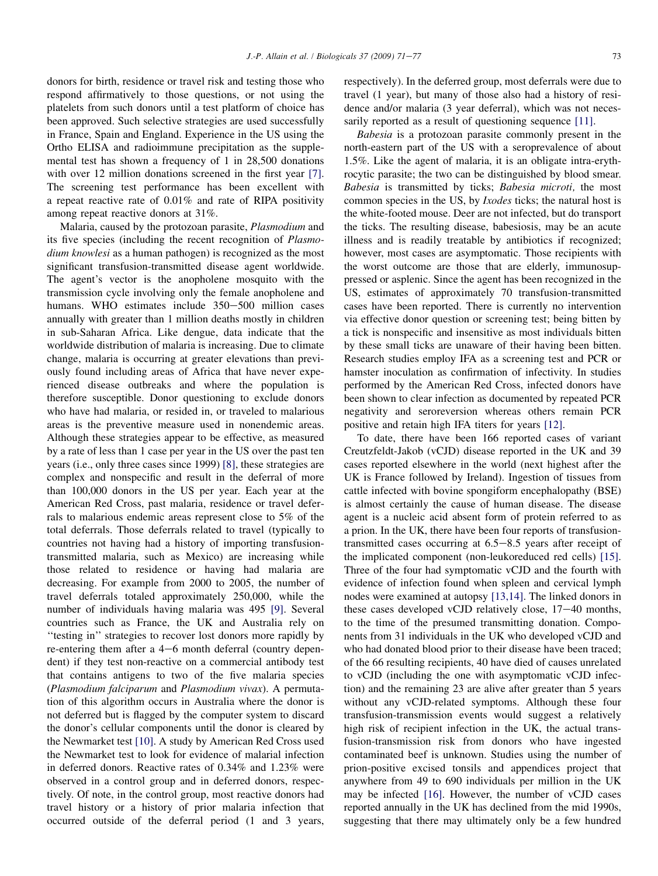donors for birth, residence or travel risk and testing those who respond affirmatively to those questions, or not using the platelets from such donors until a test platform of choice has been approved. Such selective strategies are used successfully in France, Spain and England. Experience in the US using the Ortho ELISA and radioimmune precipitation as the supplemental test has shown a frequency of 1 in 28,500 donations with over 12 million donations screened in the first year [\[7\]](#page-5-0). The screening test performance has been excellent with a repeat reactive rate of 0.01% and rate of RIPA positivity among repeat reactive donors at 31%.

Malaria, caused by the protozoan parasite, Plasmodium and its five species (including the recent recognition of Plasmodium knowlesi as a human pathogen) is recognized as the most significant transfusion-transmitted disease agent worldwide. The agent's vector is the anopholene mosquito with the transmission cycle involving only the female anopholene and humans. WHO estimates include  $350-500$  million cases annually with greater than 1 million deaths mostly in children in sub-Saharan Africa. Like dengue, data indicate that the worldwide distribution of malaria is increasing. Due to climate change, malaria is occurring at greater elevations than previously found including areas of Africa that have never experienced disease outbreaks and where the population is therefore susceptible. Donor questioning to exclude donors who have had malaria, or resided in, or traveled to malarious areas is the preventive measure used in nonendemic areas. Although these strategies appear to be effective, as measured by a rate of less than 1 case per year in the US over the past ten years (i.e., only three cases since 1999) [\[8\]](#page-6-0), these strategies are complex and nonspecific and result in the deferral of more than 100,000 donors in the US per year. Each year at the American Red Cross, past malaria, residence or travel deferrals to malarious endemic areas represent close to 5% of the total deferrals. Those deferrals related to travel (typically to countries not having had a history of importing transfusiontransmitted malaria, such as Mexico) are increasing while those related to residence or having had malaria are decreasing. For example from 2000 to 2005, the number of travel deferrals totaled approximately 250,000, while the number of individuals having malaria was 495 [\[9\].](#page-6-0) Several countries such as France, the UK and Australia rely on ''testing in'' strategies to recover lost donors more rapidly by re-entering them after a  $4-6$  month deferral (country dependent) if they test non-reactive on a commercial antibody test that contains antigens to two of the five malaria species (Plasmodium falciparum and Plasmodium vivax). A permutation of this algorithm occurs in Australia where the donor is not deferred but is flagged by the computer system to discard the donor's cellular components until the donor is cleared by the Newmarket test [\[10\]](#page-6-0). A study by American Red Cross used the Newmarket test to look for evidence of malarial infection in deferred donors. Reactive rates of 0.34% and 1.23% were observed in a control group and in deferred donors, respectively. Of note, in the control group, most reactive donors had travel history or a history of prior malaria infection that occurred outside of the deferral period (1 and 3 years, respectively). In the deferred group, most deferrals were due to travel (1 year), but many of those also had a history of residence and/or malaria (3 year deferral), which was not neces-sarily reported as a result of questioning sequence [\[11\]](#page-6-0).

Babesia is a protozoan parasite commonly present in the north-eastern part of the US with a seroprevalence of about 1.5%. Like the agent of malaria, it is an obligate intra-erythrocytic parasite; the two can be distinguished by blood smear. Babesia is transmitted by ticks; Babesia microti, the most common species in the US, by Ixodes ticks; the natural host is the white-footed mouse. Deer are not infected, but do transport the ticks. The resulting disease, babesiosis, may be an acute illness and is readily treatable by antibiotics if recognized; however, most cases are asymptomatic. Those recipients with the worst outcome are those that are elderly, immunosuppressed or asplenic. Since the agent has been recognized in the US, estimates of approximately 70 transfusion-transmitted cases have been reported. There is currently no intervention via effective donor question or screening test; being bitten by a tick is nonspecific and insensitive as most individuals bitten by these small ticks are unaware of their having been bitten. Research studies employ IFA as a screening test and PCR or hamster inoculation as confirmation of infectivity. In studies performed by the American Red Cross, infected donors have been shown to clear infection as documented by repeated PCR negativity and seroreversion whereas others remain PCR positive and retain high IFA titers for years [\[12\]](#page-6-0).

To date, there have been 166 reported cases of variant Creutzfeldt-Jakob (vCJD) disease reported in the UK and 39 cases reported elsewhere in the world (next highest after the UK is France followed by Ireland). Ingestion of tissues from cattle infected with bovine spongiform encephalopathy (BSE) is almost certainly the cause of human disease. The disease agent is a nucleic acid absent form of protein referred to as a prion. In the UK, there have been four reports of transfusiontransmitted cases occurring at  $6.5-8.5$  years after receipt of the implicated component (non-leukoreduced red cells) [\[15\]](#page-6-0). Three of the four had symptomatic vCJD and the fourth with evidence of infection found when spleen and cervical lymph nodes were examined at autopsy [\[13,14\].](#page-6-0) The linked donors in these cases developed vCJD relatively close,  $17-40$  months, to the time of the presumed transmitting donation. Components from 31 individuals in the UK who developed vCJD and who had donated blood prior to their disease have been traced; of the 66 resulting recipients, 40 have died of causes unrelated to vCJD (including the one with asymptomatic vCJD infection) and the remaining 23 are alive after greater than 5 years without any vCJD-related symptoms. Although these four transfusion-transmission events would suggest a relatively high risk of recipient infection in the UK, the actual transfusion-transmission risk from donors who have ingested contaminated beef is unknown. Studies using the number of prion-positive excised tonsils and appendices project that anywhere from 49 to 690 individuals per million in the UK may be infected [\[16\]](#page-6-0). However, the number of vCJD cases reported annually in the UK has declined from the mid 1990s, suggesting that there may ultimately only be a few hundred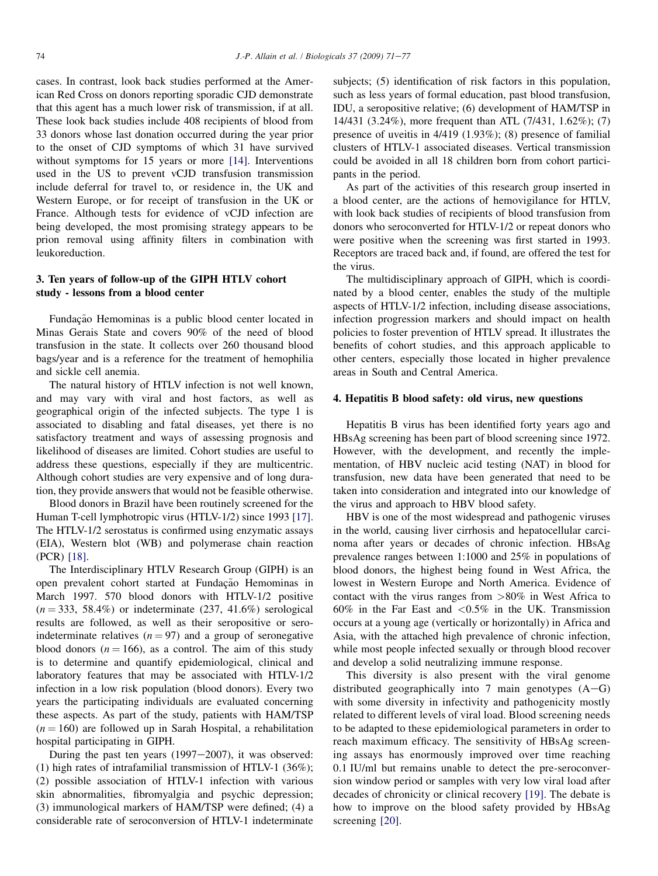cases. In contrast, look back studies performed at the American Red Cross on donors reporting sporadic CJD demonstrate that this agent has a much lower risk of transmission, if at all. These look back studies include 408 recipients of blood from 33 donors whose last donation occurred during the year prior to the onset of CJD symptoms of which 31 have survived without symptoms for 15 years or more [\[14\]](#page-6-0). Interventions used in the US to prevent vCJD transfusion transmission include deferral for travel to, or residence in, the UK and Western Europe, or for receipt of transfusion in the UK or France. Although tests for evidence of vCJD infection are being developed, the most promising strategy appears to be prion removal using affinity filters in combination with leukoreduction.

# 3. Ten years of follow-up of the GIPH HTLV cohort study - lessons from a blood center

Fundação Hemominas is a public blood center located in Minas Gerais State and covers 90% of the need of blood transfusion in the state. It collects over 260 thousand blood bags/year and is a reference for the treatment of hemophilia and sickle cell anemia.

The natural history of HTLV infection is not well known, and may vary with viral and host factors, as well as geographical origin of the infected subjects. The type 1 is associated to disabling and fatal diseases, yet there is no satisfactory treatment and ways of assessing prognosis and likelihood of diseases are limited. Cohort studies are useful to address these questions, especially if they are multicentric. Although cohort studies are very expensive and of long duration, they provide answers that would not be feasible otherwise.

Blood donors in Brazil have been routinely screened for the Human T-cell lymphotropic virus (HTLV-1/2) since 1993 [\[17\]](#page-6-0). The HTLV-1/2 serostatus is confirmed using enzymatic assays (EIA), Western blot (WB) and polymerase chain reaction (PCR) [\[18\]](#page-6-0).

The Interdisciplinary HTLV Research Group (GIPH) is an open prevalent cohort started at Fundação Hemominas in March 1997. 570 blood donors with HTLV-1/2 positive  $(n = 333, 58.4\%)$  or indeterminate (237, 41.6%) serological results are followed, as well as their seropositive or seroindeterminate relatives  $(n = 97)$  and a group of seronegative blood donors ( $n = 166$ ), as a control. The aim of this study is to determine and quantify epidemiological, clinical and laboratory features that may be associated with HTLV-1/2 infection in a low risk population (blood donors). Every two years the participating individuals are evaluated concerning these aspects. As part of the study, patients with HAM/TSP  $(n = 160)$  are followed up in Sarah Hospital, a rehabilitation hospital participating in GIPH.

During the past ten years  $(1997-2007)$ , it was observed: (1) high rates of intrafamilial transmission of HTLV-1 (36%); (2) possible association of HTLV-1 infection with various skin abnormalities, fibromyalgia and psychic depression; (3) immunological markers of HAM/TSP were defined; (4) a considerable rate of seroconversion of HTLV-1 indeterminate

subjects; (5) identification of risk factors in this population, such as less years of formal education, past blood transfusion, IDU, a seropositive relative; (6) development of HAM/TSP in 14/431 (3.24%), more frequent than ATL (7/431, 1.62%); (7) presence of uveitis in 4/419 (1.93%); (8) presence of familial clusters of HTLV-1 associated diseases. Vertical transmission could be avoided in all 18 children born from cohort participants in the period.

As part of the activities of this research group inserted in a blood center, are the actions of hemovigilance for HTLV, with look back studies of recipients of blood transfusion from donors who seroconverted for HTLV-1/2 or repeat donors who were positive when the screening was first started in 1993. Receptors are traced back and, if found, are offered the test for the virus.

The multidisciplinary approach of GIPH, which is coordinated by a blood center, enables the study of the multiple aspects of HTLV-1/2 infection, including disease associations, infection progression markers and should impact on health policies to foster prevention of HTLV spread. It illustrates the benefits of cohort studies, and this approach applicable to other centers, especially those located in higher prevalence areas in South and Central America.

## 4. Hepatitis B blood safety: old virus, new questions

Hepatitis B virus has been identified forty years ago and HBsAg screening has been part of blood screening since 1972. However, with the development, and recently the implementation, of HBV nucleic acid testing (NAT) in blood for transfusion, new data have been generated that need to be taken into consideration and integrated into our knowledge of the virus and approach to HBV blood safety.

HBV is one of the most widespread and pathogenic viruses in the world, causing liver cirrhosis and hepatocellular carcinoma after years or decades of chronic infection. HBsAg prevalence ranges between 1:1000 and 25% in populations of blood donors, the highest being found in West Africa, the lowest in Western Europe and North America. Evidence of contact with the virus ranges from >80% in West Africa to  $60\%$  in the Far East and  $\langle 0.5\%$  in the UK. Transmission occurs at a young age (vertically or horizontally) in Africa and Asia, with the attached high prevalence of chronic infection, while most people infected sexually or through blood recover and develop a solid neutralizing immune response.

This diversity is also present with the viral genome distributed geographically into 7 main genotypes  $(A - G)$ with some diversity in infectivity and pathogenicity mostly related to different levels of viral load. Blood screening needs to be adapted to these epidemiological parameters in order to reach maximum efficacy. The sensitivity of HBsAg screening assays has enormously improved over time reaching 0.1 IU/ml but remains unable to detect the pre-seroconversion window period or samples with very low viral load after decades of chronicity or clinical recovery [\[19\]](#page-6-0). The debate is how to improve on the blood safety provided by HBsAg screening [\[20\]](#page-6-0).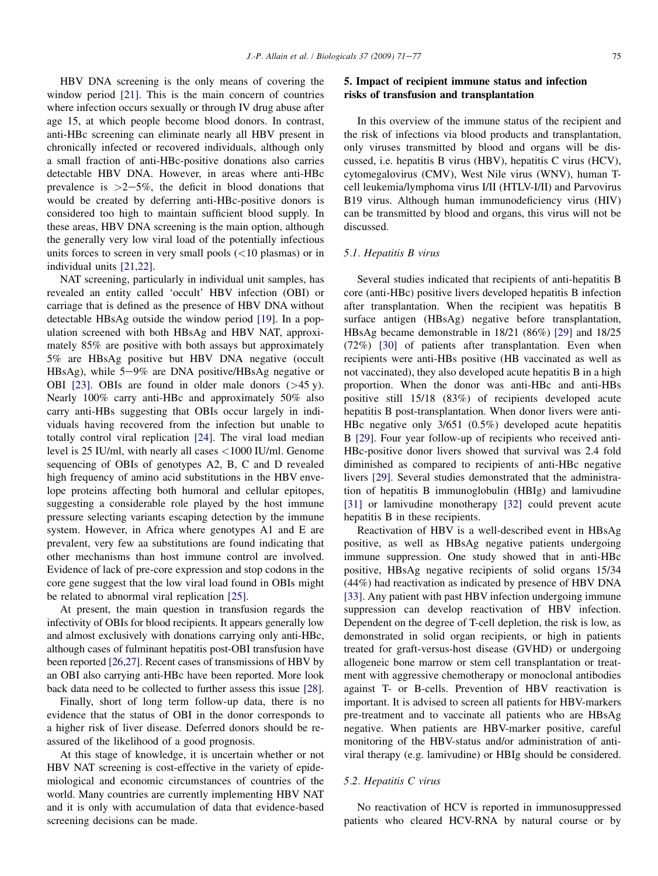HBV DNA screening is the only means of covering the window period [\[21\].](#page-6-0) This is the main concern of countries where infection occurs sexually or through IV drug abuse after age 15, at which people become blood donors. In contrast, anti-HBc screening can eliminate nearly all HBV present in chronically infected or recovered individuals, although only a small fraction of anti-HBc-positive donations also carries detectable HBV DNA. However, in areas where anti-HBc prevalence is  $>2-5\%$ , the deficit in blood donations that would be created by deferring anti-HBc-positive donors is considered too high to maintain sufficient blood supply. In these areas, HBV DNA screening is the main option, although the generally very low viral load of the potentially infectious units forces to screen in very small pools  $(<10$  plasmas) or in individual units [\[21,22\]](#page-6-0).

NAT screening, particularly in individual unit samples, has revealed an entity called 'occult' HBV infection (OBI) or carriage that is defined as the presence of HBV DNA without detectable HBsAg outside the window period [\[19\]](#page-6-0). In a population screened with both HBsAg and HBV NAT, approximately 85% are positive with both assays but approximately 5% are HBsAg positive but HBV DNA negative (occult HBsAg), while  $5-9\%$  are DNA positive/HBsAg negative or OBI [\[23\].](#page-6-0) OBIs are found in older male donors (>45 y). Nearly 100% carry anti-HBc and approximately 50% also carry anti-HBs suggesting that OBIs occur largely in individuals having recovered from the infection but unable to totally control viral replication [\[24\].](#page-6-0) The viral load median level is 25 IU/ml, with nearly all cases <1000 IU/ml. Genome sequencing of OBIs of genotypes A2, B, C and D revealed high frequency of amino acid substitutions in the HBV envelope proteins affecting both humoral and cellular epitopes, suggesting a considerable role played by the host immune pressure selecting variants escaping detection by the immune system. However, in Africa where genotypes A1 and E are prevalent, very few aa substitutions are found indicating that other mechanisms than host immune control are involved. Evidence of lack of pre-core expression and stop codons in the core gene suggest that the low viral load found in OBIs might be related to abnormal viral replication [\[25\].](#page-6-0)

At present, the main question in transfusion regards the infectivity of OBIs for blood recipients. It appears generally low and almost exclusively with donations carrying only anti-HBc, although cases of fulminant hepatitis post-OBI transfusion have been reported [\[26,27\].](#page-6-0) Recent cases of transmissions of HBV by an OBI also carrying anti-HBc have been reported. More look back data need to be collected to further assess this issue [\[28\]](#page-6-0).

Finally, short of long term follow-up data, there is no evidence that the status of OBI in the donor corresponds to a higher risk of liver disease. Deferred donors should be reassured of the likelihood of a good prognosis.

At this stage of knowledge, it is uncertain whether or not HBV NAT screening is cost-effective in the variety of epidemiological and economic circumstances of countries of the world. Many countries are currently implementing HBV NAT and it is only with accumulation of data that evidence-based screening decisions can be made.

# 5. Impact of recipient immune status and infection risks of transfusion and transplantation

In this overview of the immune status of the recipient and the risk of infections via blood products and transplantation, only viruses transmitted by blood and organs will be discussed, i.e. hepatitis B virus (HBV), hepatitis C virus (HCV), cytomegalovirus (CMV), West Nile virus (WNV), human Tcell leukemia/lymphoma virus I/II (HTLV-I/II) and Parvovirus B19 virus. Although human immunodeficiency virus (HIV) can be transmitted by blood and organs, this virus will not be discussed.

## 5.1. Hepatitis B virus

Several studies indicated that recipients of anti-hepatitis B core (anti-HBc) positive livers developed hepatitis B infection after transplantation. When the recipient was hepatitis B surface antigen (HBsAg) negative before transplantation, HBsAg became demonstrable in 18/21 (86%) [\[29\]](#page-6-0) and 18/25 (72%) [\[30\]](#page-6-0) of patients after transplantation. Even when recipients were anti-HBs positive (HB vaccinated as well as not vaccinated), they also developed acute hepatitis B in a high proportion. When the donor was anti-HBc and anti-HBs positive still 15/18 (83%) of recipients developed acute hepatitis B post-transplantation. When donor livers were anti-HBc negative only 3/651 (0.5%) developed acute hepatitis B [\[29\].](#page-6-0) Four year follow-up of recipients who received anti-HBc-positive donor livers showed that survival was 2.4 fold diminished as compared to recipients of anti-HBc negative livers [\[29\].](#page-6-0) Several studies demonstrated that the administration of hepatitis B immunoglobulin (HBIg) and lamivudine [\[31\]](#page-6-0) or lamivudine monotherapy [\[32\]](#page-6-0) could prevent acute hepatitis B in these recipients.

Reactivation of HBV is a well-described event in HBsAg positive, as well as HBsAg negative patients undergoing immune suppression. One study showed that in anti-HBc positive, HBsAg negative recipients of solid organs 15/34 (44%) had reactivation as indicated by presence of HBV DNA [\[33\]](#page-6-0). Any patient with past HBV infection undergoing immune suppression can develop reactivation of HBV infection. Dependent on the degree of T-cell depletion, the risk is low, as demonstrated in solid organ recipients, or high in patients treated for graft-versus-host disease (GVHD) or undergoing allogeneic bone marrow or stem cell transplantation or treatment with aggressive chemotherapy or monoclonal antibodies against T- or B-cells. Prevention of HBV reactivation is important. It is advised to screen all patients for HBV-markers pre-treatment and to vaccinate all patients who are HBsAg negative. When patients are HBV-marker positive, careful monitoring of the HBV-status and/or administration of antiviral therapy (e.g. lamivudine) or HBIg should be considered.

# 5.2. Hepatitis C virus

No reactivation of HCV is reported in immunosuppressed patients who cleared HCV-RNA by natural course or by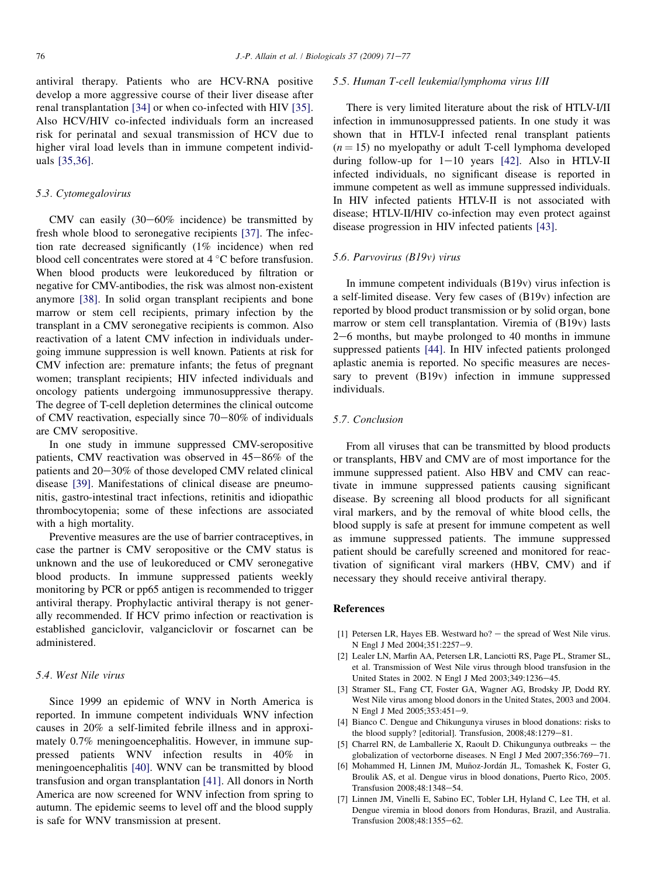<span id="page-5-0"></span>antiviral therapy. Patients who are HCV-RNA positive develop a more aggressive course of their liver disease after renal transplantation [\[34\]](#page-6-0) or when co-infected with HIV [\[35\]](#page-6-0). Also HCV/HIV co-infected individuals form an increased risk for perinatal and sexual transmission of HCV due to higher viral load levels than in immune competent individuals [\[35,36\]](#page-6-0).

## 5.3. Cytomegalovirus

CMV can easily  $(30-60\%$  incidence) be transmitted by fresh whole blood to seronegative recipients [\[37\]](#page-6-0). The infection rate decreased significantly (1% incidence) when red blood cell concentrates were stored at  $4^{\circ}$ C before transfusion. When blood products were leukoreduced by filtration or negative for CMV-antibodies, the risk was almost non-existent anymore [\[38\].](#page-6-0) In solid organ transplant recipients and bone marrow or stem cell recipients, primary infection by the transplant in a CMV seronegative recipients is common. Also reactivation of a latent CMV infection in individuals undergoing immune suppression is well known. Patients at risk for CMV infection are: premature infants; the fetus of pregnant women; transplant recipients; HIV infected individuals and oncology patients undergoing immunosuppressive therapy. The degree of T-cell depletion determines the clinical outcome of CMV reactivation, especially since  $70-80\%$  of individuals are CMV seropositive.

In one study in immune suppressed CMV-seropositive patients, CMV reactivation was observed in  $45-86\%$  of the patients and  $20-30\%$  of those developed CMV related clinical disease [\[39\]](#page-6-0). Manifestations of clinical disease are pneumonitis, gastro-intestinal tract infections, retinitis and idiopathic thrombocytopenia; some of these infections are associated with a high mortality.

Preventive measures are the use of barrier contraceptives, in case the partner is CMV seropositive or the CMV status is unknown and the use of leukoreduced or CMV seronegative blood products. In immune suppressed patients weekly monitoring by PCR or pp65 antigen is recommended to trigger antiviral therapy. Prophylactic antiviral therapy is not generally recommended. If HCV primo infection or reactivation is established ganciclovir, valganciclovir or foscarnet can be administered.

### 5.4. West Nile virus

Since 1999 an epidemic of WNV in North America is reported. In immune competent individuals WNV infection causes in 20% a self-limited febrile illness and in approximately 0.7% meningoencephalitis. However, in immune suppressed patients WNV infection results in 40% in meningoencephalitis [\[40\].](#page-6-0) WNV can be transmitted by blood transfusion and organ transplantation [\[41\]](#page-6-0). All donors in North America are now screened for WNV infection from spring to autumn. The epidemic seems to level off and the blood supply is safe for WNV transmission at present.

### 5.5. Human T-cell leukemia/lymphoma virus I/II

There is very limited literature about the risk of HTLV-I/II infection in immunosuppressed patients. In one study it was shown that in HTLV-I infected renal transplant patients  $(n = 15)$  no myelopathy or adult T-cell lymphoma developed during follow-up for  $1-10$  years [\[42\]](#page-6-0). Also in HTLV-II infected individuals, no significant disease is reported in immune competent as well as immune suppressed individuals. In HIV infected patients HTLV-II is not associated with disease; HTLV-II/HIV co-infection may even protect against disease progression in HIV infected patients [\[43\]](#page-6-0).

## 5.6. Parvovirus (B19v) virus

In immune competent individuals (B19v) virus infection is a self-limited disease. Very few cases of (B19v) infection are reported by blood product transmission or by solid organ, bone marrow or stem cell transplantation. Viremia of (B19v) lasts  $2-6$  months, but maybe prolonged to 40 months in immune suppressed patients [\[44\]](#page-6-0). In HIV infected patients prolonged aplastic anemia is reported. No specific measures are necessary to prevent (B19v) infection in immune suppressed individuals.

#### 5.7. Conclusion

From all viruses that can be transmitted by blood products or transplants, HBV and CMV are of most importance for the immune suppressed patient. Also HBV and CMV can reactivate in immune suppressed patients causing significant disease. By screening all blood products for all significant viral markers, and by the removal of white blood cells, the blood supply is safe at present for immune competent as well as immune suppressed patients. The immune suppressed patient should be carefully screened and monitored for reactivation of significant viral markers (HBV, CMV) and if necessary they should receive antiviral therapy.

## References

- [1] Petersen LR, Hayes EB. Westward ho?  $-$  the spread of West Nile virus. N Engl J Med 2004;351:2257-9.
- [2] Lealer LN, Marfin AA, Petersen LR, Lanciotti RS, Page PL, Stramer SL, et al. Transmission of West Nile virus through blood transfusion in the United States in 2002. N Engl J Med 2003;349:1236-45.
- [3] Stramer SL, Fang CT, Foster GA, Wagner AG, Brodsky JP, Dodd RY. West Nile virus among blood donors in the United States, 2003 and 2004. N Engl J Med 2005;353:451-9.
- [4] Bianco C. Dengue and Chikungunya viruses in blood donations: risks to the blood supply? [editorial]. Transfusion, 2008;48:1279-81.
- [5] Charrel RN, de Lamballerie X, Raoult D. Chikungunya outbreaks  $-$  the globalization of vectorborne diseases. N Engl J Med 2007;356:769-71.
- [6] Mohammed H, Linnen JM, Muñoz-Jordán JL, Tomashek K, Foster G, Broulik AS, et al. Dengue virus in blood donations, Puerto Rico, 2005. Transfusion 2008;48:1348-54.
- [7] Linnen JM, Vinelli E, Sabino EC, Tobler LH, Hyland C, Lee TH, et al. Dengue viremia in blood donors from Honduras, Brazil, and Australia. Transfusion 2008;48:1355-62.